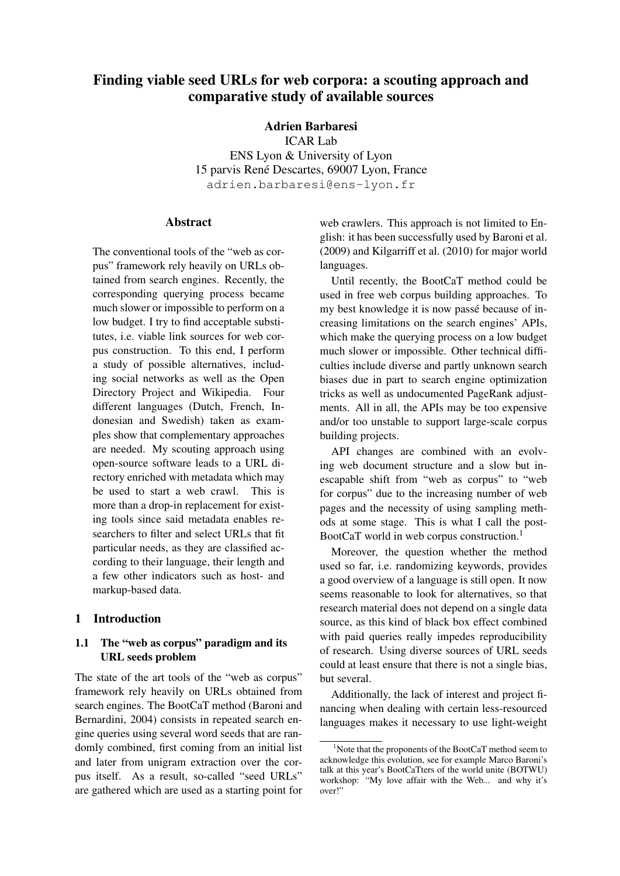# Finding viable seed URLs for web corpora: a scouting approach and comparative study of available sources

Adrien Barbaresi

ICAR Lab ENS Lyon & University of Lyon 15 parvis René Descartes, 69007 Lyon, France adrien.barbaresi@ens-lyon.fr

## Abstract

The conventional tools of the "web as corpus" framework rely heavily on URLs obtained from search engines. Recently, the corresponding querying process became much slower or impossible to perform on a low budget. I try to find acceptable substitutes, i.e. viable link sources for web corpus construction. To this end, I perform a study of possible alternatives, including social networks as well as the Open Directory Project and Wikipedia. Four different languages (Dutch, French, Indonesian and Swedish) taken as examples show that complementary approaches are needed. My scouting approach using open-source software leads to a URL directory enriched with metadata which may be used to start a web crawl. This is more than a drop-in replacement for existing tools since said metadata enables researchers to filter and select URLs that fit particular needs, as they are classified according to their language, their length and a few other indicators such as host- and markup-based data.

## 1 Introduction

## 1.1 The "web as corpus" paradigm and its URL seeds problem

The state of the art tools of the "web as corpus" framework rely heavily on URLs obtained from search engines. The BootCaT method (Baroni and Bernardini, 2004) consists in repeated search engine queries using several word seeds that are randomly combined, first coming from an initial list and later from unigram extraction over the corpus itself. As a result, so-called "seed URLs" are gathered which are used as a starting point for

web crawlers. This approach is not limited to English: it has been successfully used by Baroni et al. (2009) and Kilgarriff et al. (2010) for major world languages.

Until recently, the BootCaT method could be used in free web corpus building approaches. To my best knowledge it is now passé because of increasing limitations on the search engines' APIs, which make the querying process on a low budget much slower or impossible. Other technical difficulties include diverse and partly unknown search biases due in part to search engine optimization tricks as well as undocumented PageRank adjustments. All in all, the APIs may be too expensive and/or too unstable to support large-scale corpus building projects.

API changes are combined with an evolving web document structure and a slow but inescapable shift from "web as corpus" to "web for corpus" due to the increasing number of web pages and the necessity of using sampling methods at some stage. This is what I call the post-BootCaT world in web corpus construction.<sup>1</sup>

Moreover, the question whether the method used so far, i.e. randomizing keywords, provides a good overview of a language is still open. It now seems reasonable to look for alternatives, so that research material does not depend on a single data source, as this kind of black box effect combined with paid queries really impedes reproducibility of research. Using diverse sources of URL seeds could at least ensure that there is not a single bias, but several.

Additionally, the lack of interest and project financing when dealing with certain less-resourced languages makes it necessary to use light-weight

<sup>&</sup>lt;sup>1</sup>Note that the proponents of the BootCaT method seem to acknowledge this evolution, see for example Marco Baroni's talk at this year's BootCaTters of the world unite (BOTWU) workshop: "My love affair with the Web... and why it's over!"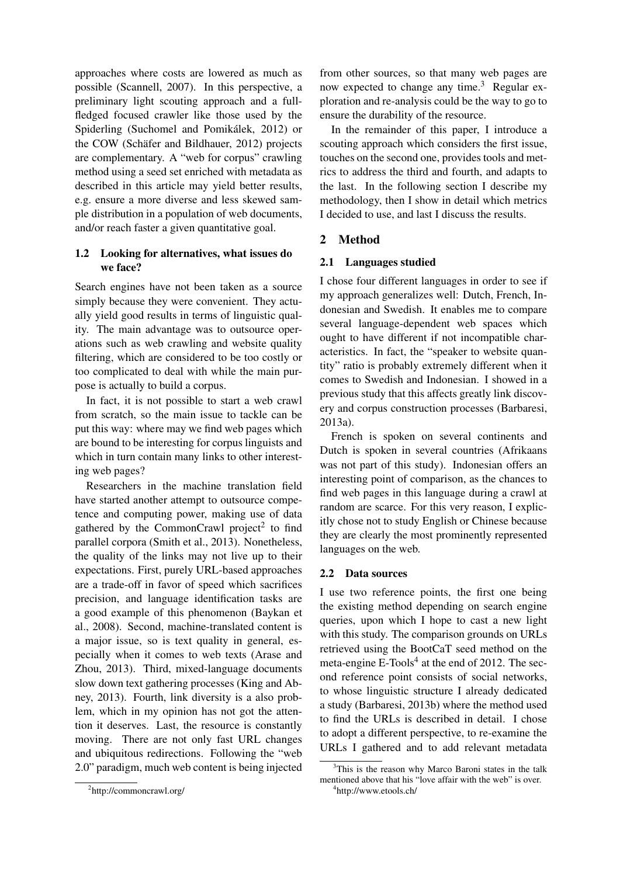approaches where costs are lowered as much as possible (Scannell, 2007). In this perspective, a preliminary light scouting approach and a fullfledged focused crawler like those used by the Spiderling (Suchomel and Pomikálek, 2012) or the COW (Schäfer and Bildhauer, 2012) projects are complementary. A "web for corpus" crawling method using a seed set enriched with metadata as described in this article may yield better results, e.g. ensure a more diverse and less skewed sample distribution in a population of web documents, and/or reach faster a given quantitative goal.

## 1.2 Looking for alternatives, what issues do we face?

Search engines have not been taken as a source simply because they were convenient. They actually yield good results in terms of linguistic quality. The main advantage was to outsource operations such as web crawling and website quality filtering, which are considered to be too costly or too complicated to deal with while the main purpose is actually to build a corpus.

In fact, it is not possible to start a web crawl from scratch, so the main issue to tackle can be put this way: where may we find web pages which are bound to be interesting for corpus linguists and which in turn contain many links to other interesting web pages?

Researchers in the machine translation field have started another attempt to outsource competence and computing power, making use of data gathered by the CommonCrawl project<sup>2</sup> to find parallel corpora (Smith et al., 2013). Nonetheless, the quality of the links may not live up to their expectations. First, purely URL-based approaches are a trade-off in favor of speed which sacrifices precision, and language identification tasks are a good example of this phenomenon (Baykan et al., 2008). Second, machine-translated content is a major issue, so is text quality in general, especially when it comes to web texts (Arase and Zhou, 2013). Third, mixed-language documents slow down text gathering processes (King and Abney, 2013). Fourth, link diversity is a also problem, which in my opinion has not got the attention it deserves. Last, the resource is constantly moving. There are not only fast URL changes and ubiquitous redirections. Following the "web 2.0" paradigm, much web content is being injected

from other sources, so that many web pages are now expected to change any time.<sup>3</sup> Regular exploration and re-analysis could be the way to go to ensure the durability of the resource.

In the remainder of this paper, I introduce a scouting approach which considers the first issue, touches on the second one, provides tools and metrics to address the third and fourth, and adapts to the last. In the following section I describe my methodology, then I show in detail which metrics I decided to use, and last I discuss the results.

## 2 Method

### 2.1 Languages studied

I chose four different languages in order to see if my approach generalizes well: Dutch, French, Indonesian and Swedish. It enables me to compare several language-dependent web spaces which ought to have different if not incompatible characteristics. In fact, the "speaker to website quantity" ratio is probably extremely different when it comes to Swedish and Indonesian. I showed in a previous study that this affects greatly link discovery and corpus construction processes (Barbaresi, 2013a).

French is spoken on several continents and Dutch is spoken in several countries (Afrikaans was not part of this study). Indonesian offers an interesting point of comparison, as the chances to find web pages in this language during a crawl at random are scarce. For this very reason, I explicitly chose not to study English or Chinese because they are clearly the most prominently represented languages on the web.

#### 2.2 Data sources

I use two reference points, the first one being the existing method depending on search engine queries, upon which I hope to cast a new light with this study. The comparison grounds on URLs retrieved using the BootCaT seed method on the meta-engine  $E$ -Tools<sup>4</sup> at the end of 2012. The second reference point consists of social networks, to whose linguistic structure I already dedicated a study (Barbaresi, 2013b) where the method used to find the URLs is described in detail. I chose to adopt a different perspective, to re-examine the URLs I gathered and to add relevant metadata

<sup>2</sup> http://commoncrawl.org/

<sup>&</sup>lt;sup>3</sup>This is the reason why Marco Baroni states in the talk mentioned above that his "love affair with the web" is over.

<sup>4</sup> http://www.etools.ch/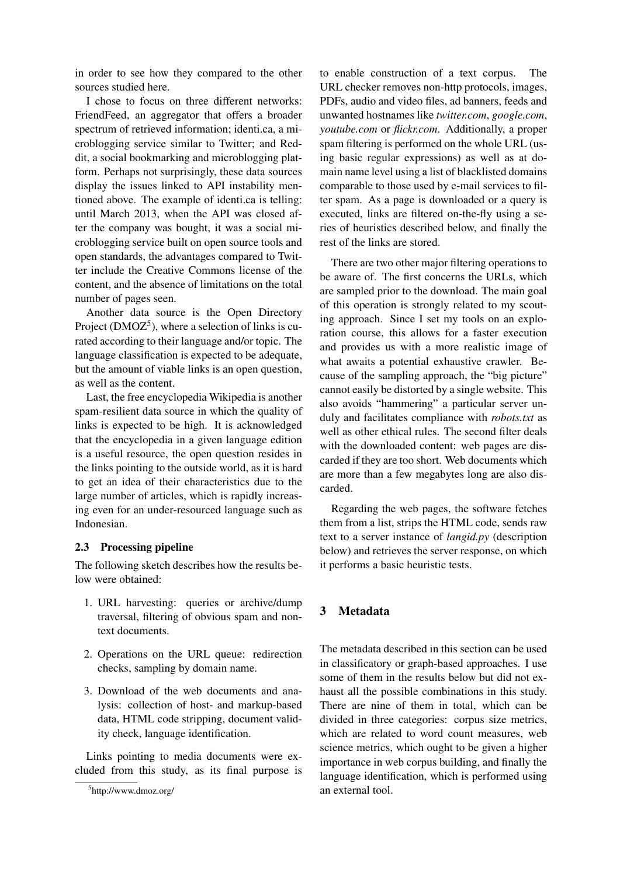in order to see how they compared to the other sources studied here.

I chose to focus on three different networks: FriendFeed, an aggregator that offers a broader spectrum of retrieved information; identi.ca, a microblogging service similar to Twitter; and Reddit, a social bookmarking and microblogging platform. Perhaps not surprisingly, these data sources display the issues linked to API instability mentioned above. The example of identi.ca is telling: until March 2013, when the API was closed after the company was bought, it was a social microblogging service built on open source tools and open standards, the advantages compared to Twitter include the Creative Commons license of the content, and the absence of limitations on the total number of pages seen.

Another data source is the Open Directory Project ( $\text{DMOZ}^5$ ), where a selection of links is curated according to their language and/or topic. The language classification is expected to be adequate, but the amount of viable links is an open question, as well as the content.

Last, the free encyclopedia Wikipedia is another spam-resilient data source in which the quality of links is expected to be high. It is acknowledged that the encyclopedia in a given language edition is a useful resource, the open question resides in the links pointing to the outside world, as it is hard to get an idea of their characteristics due to the large number of articles, which is rapidly increasing even for an under-resourced language such as Indonesian.

#### 2.3 Processing pipeline

The following sketch describes how the results below were obtained:

- 1. URL harvesting: queries or archive/dump traversal, filtering of obvious spam and nontext documents.
- 2. Operations on the URL queue: redirection checks, sampling by domain name.
- 3. Download of the web documents and analysis: collection of host- and markup-based data, HTML code stripping, document validity check, language identification.

Links pointing to media documents were excluded from this study, as its final purpose is to enable construction of a text corpus. The URL checker removes non-http protocols, images, PDFs, audio and video files, ad banners, feeds and unwanted hostnames like *twitter.com*, *google.com*, *youtube.com* or *flickr.com*. Additionally, a proper spam filtering is performed on the whole URL (using basic regular expressions) as well as at domain name level using a list of blacklisted domains comparable to those used by e-mail services to filter spam. As a page is downloaded or a query is executed, links are filtered on-the-fly using a series of heuristics described below, and finally the rest of the links are stored.

There are two other major filtering operations to be aware of. The first concerns the URLs, which are sampled prior to the download. The main goal of this operation is strongly related to my scouting approach. Since I set my tools on an exploration course, this allows for a faster execution and provides us with a more realistic image of what awaits a potential exhaustive crawler. Because of the sampling approach, the "big picture" cannot easily be distorted by a single website. This also avoids "hammering" a particular server unduly and facilitates compliance with *robots.txt* as well as other ethical rules. The second filter deals with the downloaded content: web pages are discarded if they are too short. Web documents which are more than a few megabytes long are also discarded.

Regarding the web pages, the software fetches them from a list, strips the HTML code, sends raw text to a server instance of *langid.py* (description below) and retrieves the server response, on which it performs a basic heuristic tests.

## 3 Metadata

The metadata described in this section can be used in classificatory or graph-based approaches. I use some of them in the results below but did not exhaust all the possible combinations in this study. There are nine of them in total, which can be divided in three categories: corpus size metrics, which are related to word count measures, web science metrics, which ought to be given a higher importance in web corpus building, and finally the language identification, which is performed using an external tool.

<sup>5</sup> http://www.dmoz.org/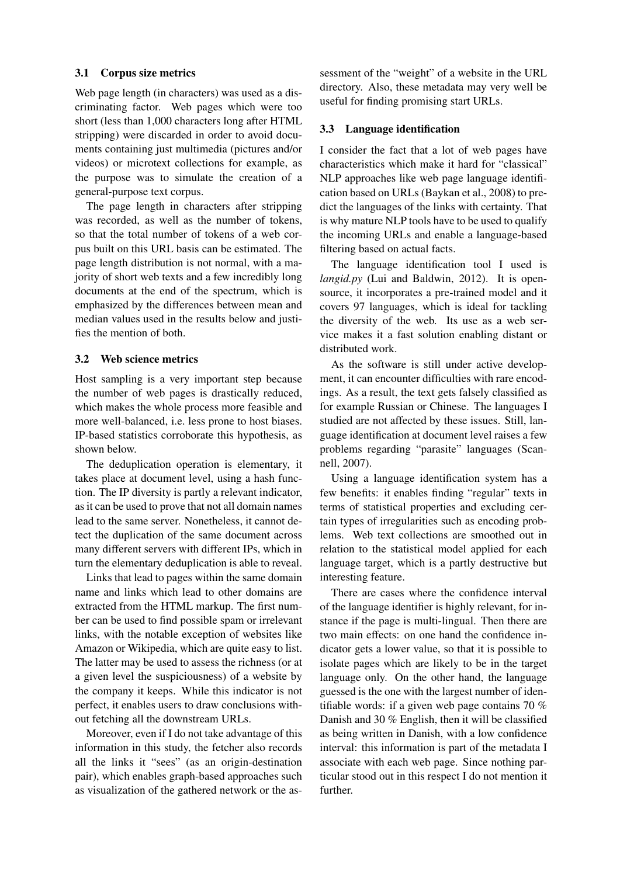#### 3.1 Corpus size metrics

Web page length (in characters) was used as a discriminating factor. Web pages which were too short (less than 1,000 characters long after HTML stripping) were discarded in order to avoid documents containing just multimedia (pictures and/or videos) or microtext collections for example, as the purpose was to simulate the creation of a general-purpose text corpus.

The page length in characters after stripping was recorded, as well as the number of tokens, so that the total number of tokens of a web corpus built on this URL basis can be estimated. The page length distribution is not normal, with a majority of short web texts and a few incredibly long documents at the end of the spectrum, which is emphasized by the differences between mean and median values used in the results below and justifies the mention of both.

#### 3.2 Web science metrics

Host sampling is a very important step because the number of web pages is drastically reduced, which makes the whole process more feasible and more well-balanced, i.e. less prone to host biases. IP-based statistics corroborate this hypothesis, as shown below.

The deduplication operation is elementary, it takes place at document level, using a hash function. The IP diversity is partly a relevant indicator, as it can be used to prove that not all domain names lead to the same server. Nonetheless, it cannot detect the duplication of the same document across many different servers with different IPs, which in turn the elementary deduplication is able to reveal.

Links that lead to pages within the same domain name and links which lead to other domains are extracted from the HTML markup. The first number can be used to find possible spam or irrelevant links, with the notable exception of websites like Amazon or Wikipedia, which are quite easy to list. The latter may be used to assess the richness (or at a given level the suspiciousness) of a website by the company it keeps. While this indicator is not perfect, it enables users to draw conclusions without fetching all the downstream URLs.

Moreover, even if I do not take advantage of this information in this study, the fetcher also records all the links it "sees" (as an origin-destination pair), which enables graph-based approaches such as visualization of the gathered network or the assessment of the "weight" of a website in the URL directory. Also, these metadata may very well be useful for finding promising start URLs.

#### 3.3 Language identification

I consider the fact that a lot of web pages have characteristics which make it hard for "classical" NLP approaches like web page language identification based on URLs (Baykan et al., 2008) to predict the languages of the links with certainty. That is why mature NLP tools have to be used to qualify the incoming URLs and enable a language-based filtering based on actual facts.

The language identification tool I used is *langid.py* (Lui and Baldwin, 2012). It is opensource, it incorporates a pre-trained model and it covers 97 languages, which is ideal for tackling the diversity of the web. Its use as a web service makes it a fast solution enabling distant or distributed work.

As the software is still under active development, it can encounter difficulties with rare encodings. As a result, the text gets falsely classified as for example Russian or Chinese. The languages I studied are not affected by these issues. Still, language identification at document level raises a few problems regarding "parasite" languages (Scannell, 2007).

Using a language identification system has a few benefits: it enables finding "regular" texts in terms of statistical properties and excluding certain types of irregularities such as encoding problems. Web text collections are smoothed out in relation to the statistical model applied for each language target, which is a partly destructive but interesting feature.

There are cases where the confidence interval of the language identifier is highly relevant, for instance if the page is multi-lingual. Then there are two main effects: on one hand the confidence indicator gets a lower value, so that it is possible to isolate pages which are likely to be in the target language only. On the other hand, the language guessed is the one with the largest number of identifiable words: if a given web page contains 70 % Danish and 30 % English, then it will be classified as being written in Danish, with a low confidence interval: this information is part of the metadata I associate with each web page. Since nothing particular stood out in this respect I do not mention it further.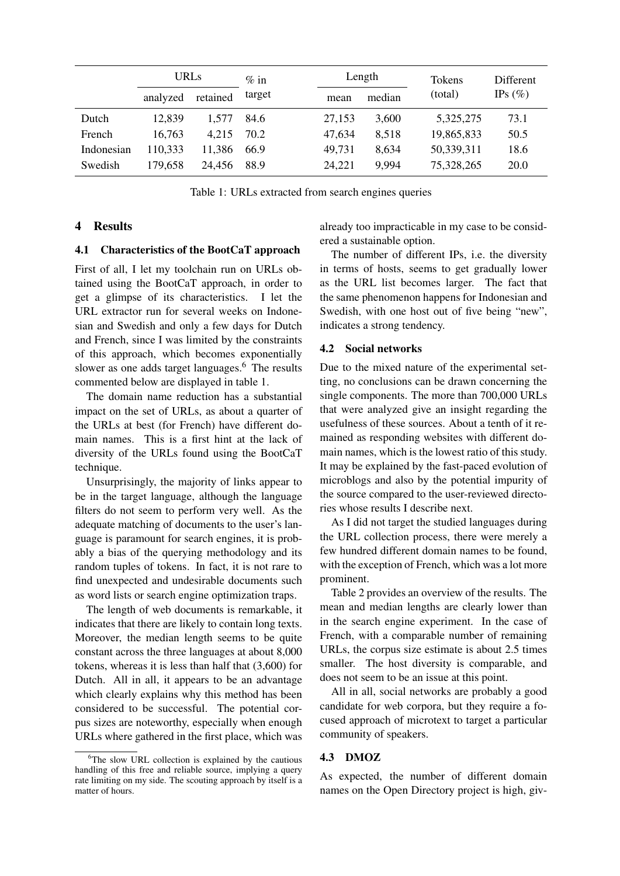|            | <b>URLs</b> |          | $\%$ in | Length |        | Tokens  | <b>Different</b> |             |
|------------|-------------|----------|---------|--------|--------|---------|------------------|-------------|
|            | analyzed    | retained | target  | mean   | median | (total) | IPs $(\% )$      |             |
| Dutch      | 12,839      | 1.577    | 84.6    |        | 27,153 | 3.600   | 5,325,275        | 73.1        |
| French     | 16,763      | 4.215    | 70.2    |        | 47,634 | 8,518   | 19,865,833       | 50.5        |
| Indonesian | 110,333     | 11,386   | 66.9    |        | 49.731 | 8.634   | 50,339,311       | 18.6        |
| Swedish    | 179,658     | 24,456   | 88.9    |        | 24,221 | 9.994   | 75,328,265       | <b>20.0</b> |

Table 1: URLs extracted from search engines queries

## 4 Results

#### 4.1 Characteristics of the BootCaT approach

First of all, I let my toolchain run on URLs obtained using the BootCaT approach, in order to get a glimpse of its characteristics. I let the URL extractor run for several weeks on Indonesian and Swedish and only a few days for Dutch and French, since I was limited by the constraints of this approach, which becomes exponentially slower as one adds target languages.<sup>6</sup> The results commented below are displayed in table 1.

The domain name reduction has a substantial impact on the set of URLs, as about a quarter of the URLs at best (for French) have different domain names. This is a first hint at the lack of diversity of the URLs found using the BootCaT technique.

Unsurprisingly, the majority of links appear to be in the target language, although the language filters do not seem to perform very well. As the adequate matching of documents to the user's language is paramount for search engines, it is probably a bias of the querying methodology and its random tuples of tokens. In fact, it is not rare to find unexpected and undesirable documents such as word lists or search engine optimization traps.

The length of web documents is remarkable, it indicates that there are likely to contain long texts. Moreover, the median length seems to be quite constant across the three languages at about 8,000 tokens, whereas it is less than half that (3,600) for Dutch. All in all, it appears to be an advantage which clearly explains why this method has been considered to be successful. The potential corpus sizes are noteworthy, especially when enough URLs where gathered in the first place, which was already too impracticable in my case to be considered a sustainable option.

The number of different IPs, i.e. the diversity in terms of hosts, seems to get gradually lower as the URL list becomes larger. The fact that the same phenomenon happens for Indonesian and Swedish, with one host out of five being "new", indicates a strong tendency.

#### 4.2 Social networks

Due to the mixed nature of the experimental setting, no conclusions can be drawn concerning the single components. The more than 700,000 URLs that were analyzed give an insight regarding the usefulness of these sources. About a tenth of it remained as responding websites with different domain names, which is the lowest ratio of this study. It may be explained by the fast-paced evolution of microblogs and also by the potential impurity of the source compared to the user-reviewed directories whose results I describe next.

As I did not target the studied languages during the URL collection process, there were merely a few hundred different domain names to be found, with the exception of French, which was a lot more prominent.

Table 2 provides an overview of the results. The mean and median lengths are clearly lower than in the search engine experiment. In the case of French, with a comparable number of remaining URLs, the corpus size estimate is about 2.5 times smaller. The host diversity is comparable, and does not seem to be an issue at this point.

All in all, social networks are probably a good candidate for web corpora, but they require a focused approach of microtext to target a particular community of speakers.

#### 4.3 DMOZ

As expected, the number of different domain names on the Open Directory project is high, giv-

<sup>&</sup>lt;sup>6</sup>The slow URL collection is explained by the cautious handling of this free and reliable source, implying a query rate limiting on my side. The scouting approach by itself is a matter of hours.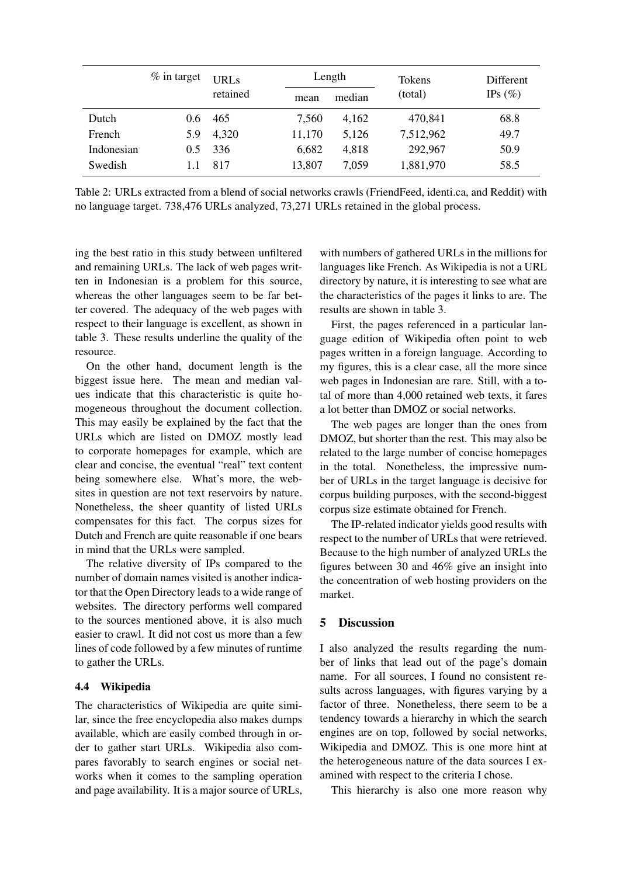|            | $\%$ in target | <b>URLs</b> |        | Length | Tokens    | Different   |
|------------|----------------|-------------|--------|--------|-----------|-------------|
|            |                | retained    | mean   | median | (total)   | IPs $(\% )$ |
| Dutch      | $0.6^{\circ}$  | 465         | 7,560  | 4,162  | 470,841   | 68.8        |
| French     | 5.9            | 4,320       | 11,170 | 5,126  | 7,512,962 | 49.7        |
| Indonesian | $0.5^{\circ}$  | 336         | 6,682  | 4,818  | 292,967   | 50.9        |
| Swedish    | 1.1            | 817         | 13,807 | 7,059  | 1,881,970 | 58.5        |

Table 2: URLs extracted from a blend of social networks crawls (FriendFeed, identi.ca, and Reddit) with no language target. 738,476 URLs analyzed, 73,271 URLs retained in the global process.

ing the best ratio in this study between unfiltered and remaining URLs. The lack of web pages written in Indonesian is a problem for this source, whereas the other languages seem to be far better covered. The adequacy of the web pages with respect to their language is excellent, as shown in table 3. These results underline the quality of the resource.

On the other hand, document length is the biggest issue here. The mean and median values indicate that this characteristic is quite homogeneous throughout the document collection. This may easily be explained by the fact that the URLs which are listed on DMOZ mostly lead to corporate homepages for example, which are clear and concise, the eventual "real" text content being somewhere else. What's more, the websites in question are not text reservoirs by nature. Nonetheless, the sheer quantity of listed URLs compensates for this fact. The corpus sizes for Dutch and French are quite reasonable if one bears in mind that the URLs were sampled.

The relative diversity of IPs compared to the number of domain names visited is another indicator that the Open Directory leads to a wide range of websites. The directory performs well compared to the sources mentioned above, it is also much easier to crawl. It did not cost us more than a few lines of code followed by a few minutes of runtime to gather the URLs.

#### 4.4 Wikipedia

The characteristics of Wikipedia are quite similar, since the free encyclopedia also makes dumps available, which are easily combed through in order to gather start URLs. Wikipedia also compares favorably to search engines or social networks when it comes to the sampling operation and page availability. It is a major source of URLs,

with numbers of gathered URLs in the millions for languages like French. As Wikipedia is not a URL directory by nature, it is interesting to see what are the characteristics of the pages it links to are. The results are shown in table 3.

First, the pages referenced in a particular language edition of Wikipedia often point to web pages written in a foreign language. According to my figures, this is a clear case, all the more since web pages in Indonesian are rare. Still, with a total of more than 4,000 retained web texts, it fares a lot better than DMOZ or social networks.

The web pages are longer than the ones from DMOZ, but shorter than the rest. This may also be related to the large number of concise homepages in the total. Nonetheless, the impressive number of URLs in the target language is decisive for corpus building purposes, with the second-biggest corpus size estimate obtained for French.

The IP-related indicator yields good results with respect to the number of URLs that were retrieved. Because to the high number of analyzed URLs the figures between 30 and 46% give an insight into the concentration of web hosting providers on the market.

## 5 Discussion

I also analyzed the results regarding the number of links that lead out of the page's domain name. For all sources, I found no consistent results across languages, with figures varying by a factor of three. Nonetheless, there seem to be a tendency towards a hierarchy in which the search engines are on top, followed by social networks, Wikipedia and DMOZ. This is one more hint at the heterogeneous nature of the data sources I examined with respect to the criteria I chose.

This hierarchy is also one more reason why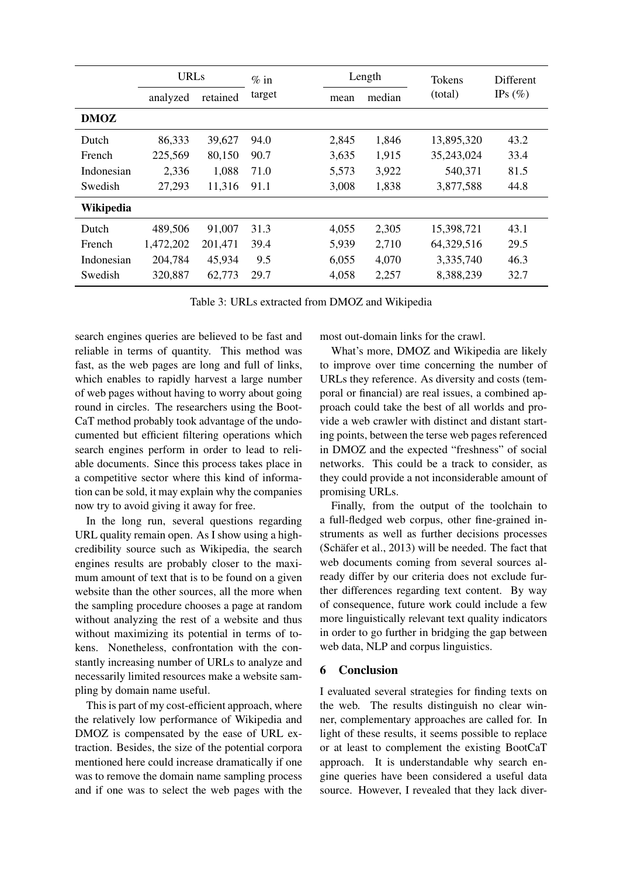|             | <b>URLs</b> |          | $%$ in | Length |        | <b>Tokens</b> | Different  |
|-------------|-------------|----------|--------|--------|--------|---------------|------------|
|             | analyzed    | retained | target | mean   | median | (total)       | IPs $(\%)$ |
| <b>DMOZ</b> |             |          |        |        |        |               |            |
| Dutch       | 86,333      | 39,627   | 94.0   | 2,845  | 1,846  | 13,895,320    | 43.2       |
| French      | 225,569     | 80,150   | 90.7   | 3,635  | 1,915  | 35,243,024    | 33.4       |
| Indonesian  | 2,336       | 1,088    | 71.0   | 5,573  | 3,922  | 540,371       | 81.5       |
| Swedish     | 27,293      | 11,316   | 91.1   | 3,008  | 1,838  | 3,877,588     | 44.8       |
| Wikipedia   |             |          |        |        |        |               |            |
| Dutch       | 489,506     | 91,007   | 31.3   | 4,055  | 2,305  | 15,398,721    | 43.1       |
| French      | 1,472,202   | 201,471  | 39.4   | 5,939  | 2,710  | 64,329,516    | 29.5       |
| Indonesian  | 204,784     | 45,934   | 9.5    | 6,055  | 4,070  | 3,335,740     | 46.3       |
| Swedish     | 320,887     | 62,773   | 29.7   | 4,058  | 2,257  | 8,388,239     | 32.7       |

Table 3: URLs extracted from DMOZ and Wikipedia

search engines queries are believed to be fast and reliable in terms of quantity. This method was fast, as the web pages are long and full of links, which enables to rapidly harvest a large number of web pages without having to worry about going round in circles. The researchers using the Boot-CaT method probably took advantage of the undocumented but efficient filtering operations which search engines perform in order to lead to reliable documents. Since this process takes place in a competitive sector where this kind of information can be sold, it may explain why the companies now try to avoid giving it away for free.

In the long run, several questions regarding URL quality remain open. As I show using a highcredibility source such as Wikipedia, the search engines results are probably closer to the maximum amount of text that is to be found on a given website than the other sources, all the more when the sampling procedure chooses a page at random without analyzing the rest of a website and thus without maximizing its potential in terms of tokens. Nonetheless, confrontation with the constantly increasing number of URLs to analyze and necessarily limited resources make a website sampling by domain name useful.

This is part of my cost-efficient approach, where the relatively low performance of Wikipedia and DMOZ is compensated by the ease of URL extraction. Besides, the size of the potential corpora mentioned here could increase dramatically if one was to remove the domain name sampling process and if one was to select the web pages with the most out-domain links for the crawl.

What's more, DMOZ and Wikipedia are likely to improve over time concerning the number of URLs they reference. As diversity and costs (temporal or financial) are real issues, a combined approach could take the best of all worlds and provide a web crawler with distinct and distant starting points, between the terse web pages referenced in DMOZ and the expected "freshness" of social networks. This could be a track to consider, as they could provide a not inconsiderable amount of promising URLs.

Finally, from the output of the toolchain to a full-fledged web corpus, other fine-grained instruments as well as further decisions processes (Schäfer et al.,  $2013$ ) will be needed. The fact that web documents coming from several sources already differ by our criteria does not exclude further differences regarding text content. By way of consequence, future work could include a few more linguistically relevant text quality indicators in order to go further in bridging the gap between web data, NLP and corpus linguistics.

## 6 Conclusion

I evaluated several strategies for finding texts on the web. The results distinguish no clear winner, complementary approaches are called for. In light of these results, it seems possible to replace or at least to complement the existing BootCaT approach. It is understandable why search engine queries have been considered a useful data source. However, I revealed that they lack diver